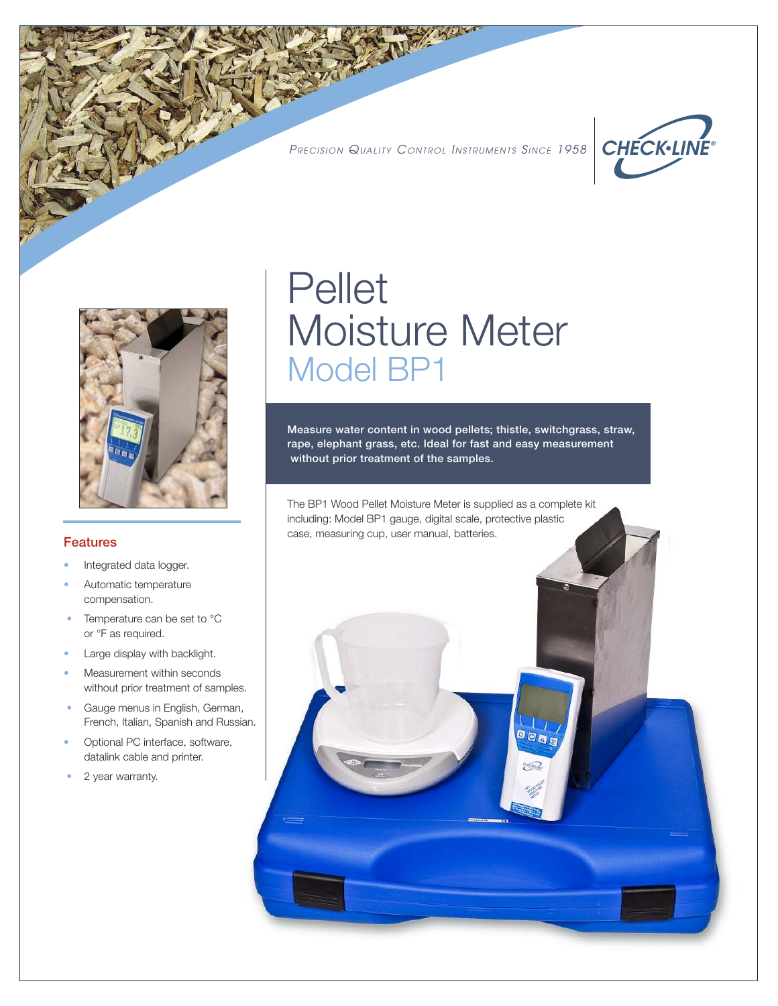PRECISION QUALITY CONTROL INSTRUMENTS SINCE 1958





#### Features

- Integrated data logger.
- Automatic temperature compensation.
- Temperature can be set to °C or °F as required.
- Large display with backlight.
- Measurement within seconds without prior treatment of samples.
- Gauge menus in English, German, French, Italian, Spanish and Russian.
- Optional PC interface, software, datalink cable and printer.
- 2 year warranty.

## Pellet Moisture Meter Model BP1

Measure water content in wood pellets; thistle, switchgrass, straw, rape, elephant grass, etc. Ideal for fast and easy measurement without prior treatment of the samples.

日回回日

The BP1 Wood Pellet Moisture Meter is supplied as a complete kit including: Model BP1 gauge, digital scale, protective plastic case, measuring cup, user manual, batteries.